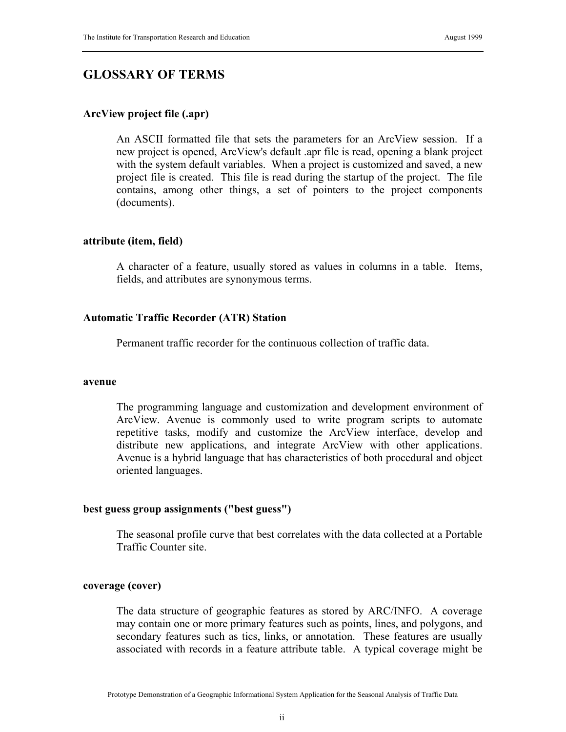# **GLOSSARY OF TERMS**

# **ArcView project file (.apr)**

An ASCII formatted file that sets the parameters for an ArcView session. If a new project is opened, ArcView's default .apr file is read, opening a blank project with the system default variables. When a project is customized and saved, a new project file is created. This file is read during the startup of the project. The file contains, among other things, a set of pointers to the project components (documents).

# **attribute (item, field)**

A character of a feature, usually stored as values in columns in a table. Items, fields, and attributes are synonymous terms.

# **Automatic Traffic Recorder (ATR) Station**

Permanent traffic recorder for the continuous collection of traffic data.

#### **avenue**

The programming language and customization and development environment of ArcView. Avenue is commonly used to write program scripts to automate repetitive tasks, modify and customize the ArcView interface, develop and distribute new applications, and integrate ArcView with other applications. Avenue is a hybrid language that has characteristics of both procedural and object oriented languages.

# **best guess group assignments ("best guess")**

The seasonal profile curve that best correlates with the data collected at a Portable Traffic Counter site.

# **coverage (cover)**

The data structure of geographic features as stored by ARC/INFO. A coverage may contain one or more primary features such as points, lines, and polygons, and secondary features such as tics, links, or annotation. These features are usually associated with records in a feature attribute table. A typical coverage might be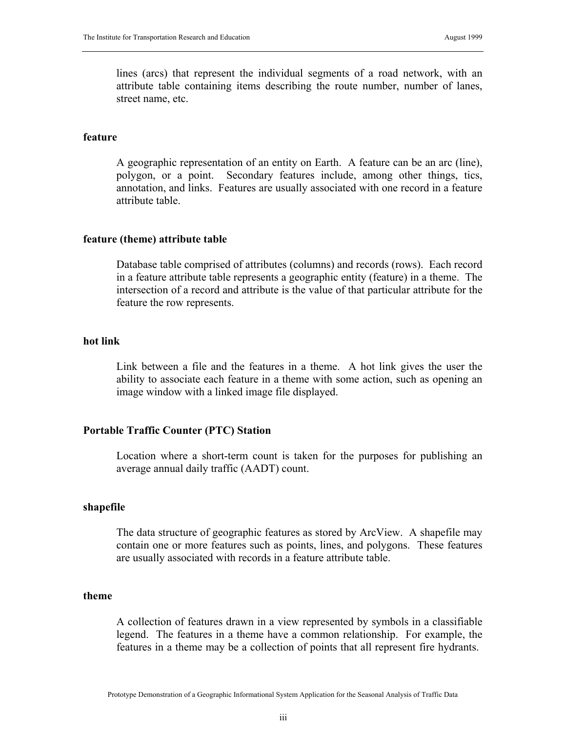lines (arcs) that represent the individual segments of a road network, with an attribute table containing items describing the route number, number of lanes, street name, etc.

#### **feature**

A geographic representation of an entity on Earth. A feature can be an arc (line), polygon, or a point. Secondary features include, among other things, tics, annotation, and links. Features are usually associated with one record in a feature attribute table.

### **feature (theme) attribute table**

Database table comprised of attributes (columns) and records (rows). Each record in a feature attribute table represents a geographic entity (feature) in a theme. The intersection of a record and attribute is the value of that particular attribute for the feature the row represents.

# **hot link**

Link between a file and the features in a theme. A hot link gives the user the ability to associate each feature in a theme with some action, such as opening an image window with a linked image file displayed.

# **Portable Traffic Counter (PTC) Station**

Location where a short-term count is taken for the purposes for publishing an average annual daily traffic (AADT) count.

# **shapefile**

The data structure of geographic features as stored by ArcView. A shapefile may contain one or more features such as points, lines, and polygons. These features are usually associated with records in a feature attribute table.

#### **theme**

A collection of features drawn in a view represented by symbols in a classifiable legend. The features in a theme have a common relationship. For example, the features in a theme may be a collection of points that all represent fire hydrants.